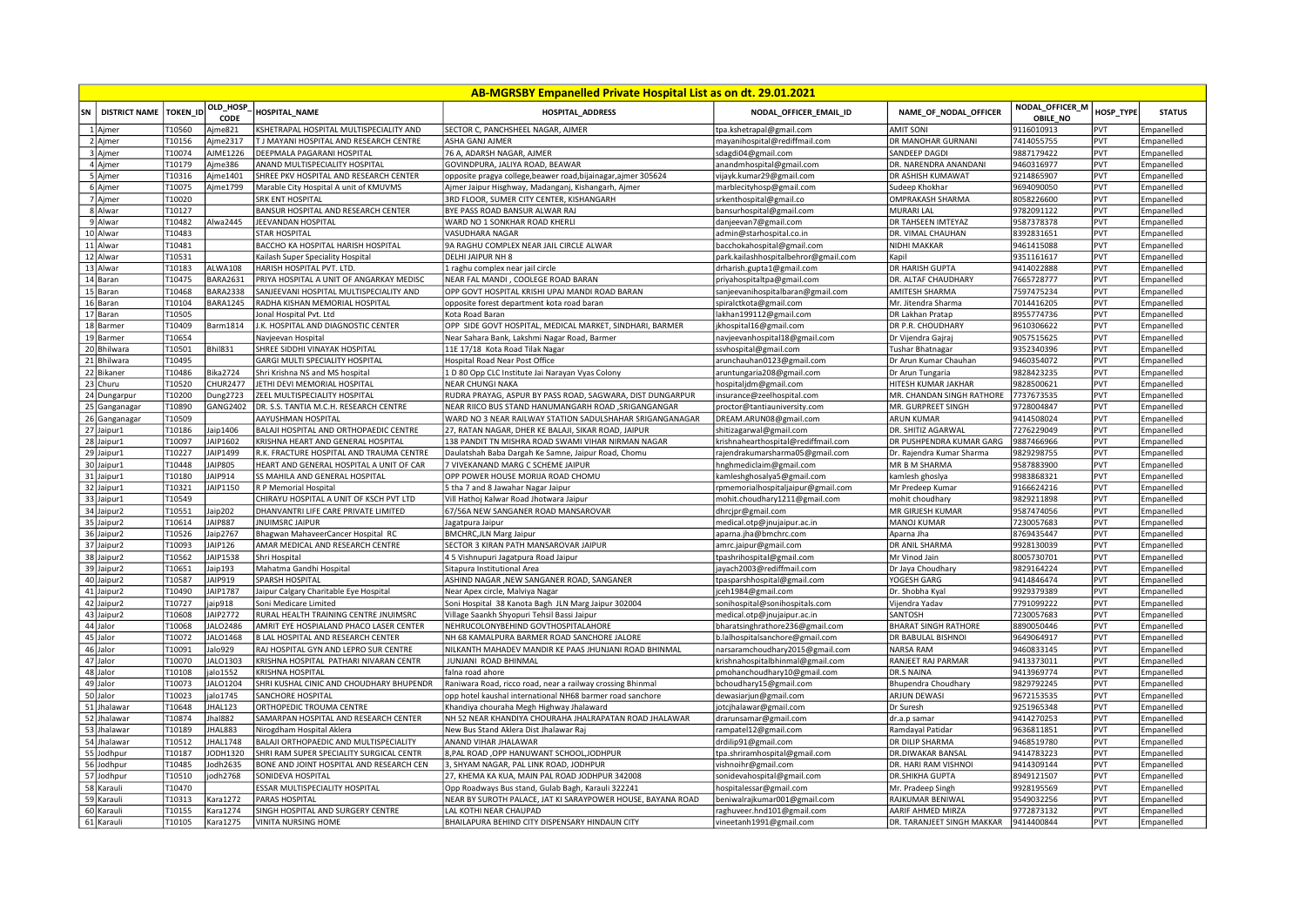| AB-MGRSBY Empanelled Private Hospital List as on dt. 29.01.2021 |                          |                  |                     |                                                                 |                                                                |                                      |                                       |                                    |            |                   |
|-----------------------------------------------------------------|--------------------------|------------------|---------------------|-----------------------------------------------------------------|----------------------------------------------------------------|--------------------------------------|---------------------------------------|------------------------------------|------------|-------------------|
| SN                                                              | DISTRICT NAME   TOKEN ID |                  | OLD_HOSP<br>CODE    | HOSPITAL NAME                                                   | <b>HOSPITAL ADDRESS</b>                                        | NODAL OFFICER EMAIL ID               | NAME OF NODAL OFFICER                 | NODAL_OFFICER_M<br><b>OBILE NO</b> | HOSP TYPE  | <b>STATUS</b>     |
|                                                                 | 1 Aimer                  | T10560           | Ajme821             | KSHETRAPAL HOSPITAL MULTISPECIALITY AND                         | SECTOR C. PANCHSHEEL NAGAR, AJMER                              | tpa.kshetrapal@gmail.com             | <b>AMIT SONI</b>                      | 9116010913                         | PVT        | Empanelled        |
|                                                                 | 2 Ajmer                  | T10156           | Ajme2317            | T J MAYANI HOSPITAL AND RESEARCH CENTRE                         | ASHA GANJ AJMER                                                | mayanihospital@rediffmail.com        | DR MANOHAR GURNANI                    | 7414055755                         | <b>PVT</b> | Empanelled        |
|                                                                 | 3 Ajmer                  | T10074           | AJME1226            | DEEPMALA PAGARANI HOSPITAL                                      | 76 A, ADARSH NAGAR, AJMER                                      | sdagdi04@gmail.com                   | SANDEEP DAGDI                         | 9887179422                         | PVT        | Empanelled        |
|                                                                 | 4 Ajmer                  | T10179           | Ajme386             | ANAND MULTISPECIALITY HOSPITAL                                  | GOVINDPURA, JALIYA ROAD, BEAWAR                                | anandmhospital@gmail.com             | DR. NARENDRA ANANDANI                 | 9460316977                         | PVT        | Empanelled        |
|                                                                 | 5 Ajmer                  | T10316           | Ajme1401            | SHREE PKV HOSPITAL AND RESEARCH CENTER                          | opposite pragya college, beawer road, bijainagar, ajmer 305624 | vijayk.kumar29@gmail.com             | DR ASHISH KUMAWAT                     | 9214865907                         | PVT        | Empanelled        |
|                                                                 | 6 Ajmer                  | T10075           | Ajme1799            | Marable City Hospital A unit of KMUVMS                          | Ajmer Jaipur Hisghway, Madanganj, Kishangarh, Ajmer            | marblecityhosp@gmail.com             | Sudeep Khokhar                        | 9694090050                         | PVT        | Empanelled        |
|                                                                 | 7 Ajmer                  | T10020           |                     | <b>SRK ENT HOSPITAL</b>                                         | 3RD FLOOR, SUMER CITY CENTER, KISHANGARH                       | srkenthospital@gmail.co              | OMPRAKASH SHARMA                      | 8058226600                         | PVT        | Empanelled        |
|                                                                 | 8 Alwar                  | T10127           |                     | BANSUR HOSPITAL AND RESEARCH CENTER                             | BYE PASS ROAD BANSUR ALWAR RAJ                                 | bansurhospital@gmail.com             | <b>MURARI LAL</b>                     | 9782091122                         | PVT        | Empanelled        |
|                                                                 | 9 Alwar                  | T10482           | Alwa2445            | JEEVANDAN HOSPITAL                                              | WARD NO 1 SONKHAR ROAD KHERLI                                  | danjeevan7@gmail.com                 | DR TAHSEEN IMTEYAZ                    | 9587378378                         | PVT        | Empanelled        |
|                                                                 | 10 Alwar                 | T10483           |                     | <b>STAR HOSPITAL</b>                                            | VASUDHARA NAGAR                                                | admin@starhospital.co.in             | DR. VIMAL CHAUHAN                     | 8392831651                         | PVT        | Empanelled        |
|                                                                 | 11 Alwar                 | T10481           |                     | BACCHO KA HOSPITAL HARISH HOSPITAL                              | 9A RAGHU COMPLEX NEAR JAIL CIRCLE ALWAR                        | bacchokahospital@gmail.com           | NIDHI MAKKAR                          | 9461415088                         | PVT        | Empanelled        |
|                                                                 | 12 Alwar                 | T10531           |                     | Kailash Super Speciality Hospital                               | DELHI JAIPUR NH 8                                              | park.kailashhospitalbehror@gmail.com | Kapil                                 | 9351161617                         | PVT        | Empanelled        |
|                                                                 | 13 Alwar                 | T10183           | ALWA108             | HARISH HOSPITAL PVT. LTD.                                       | 1 raghu complex near jail circle                               | drharish.gupta1@gmail.com            | DR HARISH GUPTA                       | 9414022888                         | PVT        | Empanelled        |
|                                                                 | 14 Baran                 | T10475           | <b>BARA2631</b>     | PRIYA HOSPITAL A UNIT OF ANGARKAY MEDISC                        | NEAR FAL MANDI, COOLEGE ROAD BARAN                             | priyahospitaltpa@gmail.com           | DR. ALTAF CHAUDHARY                   | 7665728777                         | PVT        | Empanelled        |
|                                                                 | 15 Baran                 | T10468           | <b>BARA2338</b>     | SANJEEVANI HOSPITAL MULTISPECIALITY AND                         | OPP GOVT HOSPITAL KRISHI UPAJ MANDI ROAD BARAN                 | sanjeevanihospitalbaran@gmail.com    | AMITESH SHARMA                        | 7597475234                         | PVT        | Empanelled        |
|                                                                 | 16 Baran                 | T10104           | BARA1245            | RADHA KISHAN MEMORIAL HOSPITAL                                  | opposite forest department kota road baran                     | spiralctkota@gmail.com               | Mr. Jitendra Sharma                   | 7014416205                         | PVT        | <b>Empanelled</b> |
|                                                                 | 17 Baran                 | T10505           |                     | Jonal Hospital Pvt. Ltd                                         | Kota Road Baran                                                | akhan199112@gmail.com                | DR Lakhan Pratap                      | 8955774736                         | PVT        | Empanelled        |
|                                                                 | 18 Barmer                | T10409           | Barm1814            | J.K. HOSPITAL AND DIAGNOSTIC CENTER                             | OPP SIDE GOVT HOSPITAL, MEDICAL MARKET, SINDHARI, BARMER       | jkhospital16@gmail.com               | DR P.R. CHOUDHARY                     | 9610306622                         | PVT        | Empanelled        |
|                                                                 |                          | T10654           |                     |                                                                 |                                                                |                                      |                                       | 9057515625                         | PVT        |                   |
|                                                                 | 19 Barmer                |                  |                     | Navjeevan Hospital                                              | Near Sahara Bank, Lakshmi Nagar Road, Barmer                   | navjeevanhospital18@gmail.com        | Dr Vijendra Gajraj                    |                                    |            | Empanelled        |
|                                                                 | 20 Bhilwara              | T10501           | <b>Bhil831</b>      | SHREE SIDDHI VINAYAK HOSPITAL                                   | 11E 17/18 Kota Road Tilak Nagar                                | ssvhospital@gmail.com                | <b>Tushar Bhatnagar</b>               | 9352340396                         | PVT        | Empanelled        |
|                                                                 | 21 Bhilwara              | T10495           |                     | GARGI MULTI SPECIALITY HOSPITAL                                 | Hospital Road Near Post Office                                 | arunchauhan0123@gmail.com            | Dr Arun Kumar Chauhan                 | 9460354072                         | <b>PVT</b> | Empanelled        |
|                                                                 | 22 Bikaner               | T10486           | <b>Bika2724</b>     | Shri Krishna NS and MS hospital                                 | 1 D 80 Opp CLC Institute Jai Narayan Vyas Colony               | aruntungaria208@gmail.com            | Dr Arun Tungaria                      | 9828423235                         | PVT        | Empanelled        |
|                                                                 | 23 Churu                 | T10520           | <b>CHUR2477</b>     | JETHI DEVI MEMORIAL HOSPITAL                                    | <b>NEAR CHUNGI NAKA</b>                                        | hospitaljdm@gmail.com                | HITESH KUMAR JAKHAR                   | 9828500621                         | PVT        | Empanelled        |
|                                                                 | 24 Dungarpur             | T10200           | <b>Dung2723</b>     | ZEEL MULTISPECIALITY HOSPITAL                                   | RUDRA PRAYAG, ASPUR BY PASS ROAD, SAGWARA, DIST DUNGARPUR      | nsurance@zeelhospital.com            | MR. CHANDAN SINGH RATHORE             | 7737673535                         | PVT        | Empanelled        |
|                                                                 | 25 Ganganagar            | T10890           | GANG2402            | DR. S.S. TANTIA M.C.H. RESEARCH CENTRE                          | NEAR RIICO BUS STAND HANUMANGARH ROAD , SRIGANGANGAR           | proctor@tantiauniversity.com         | MR. GURPREET SINGH                    | 9728004847                         | PVT        | Empanelled        |
|                                                                 | 26 Ganganagar            | T10509           |                     | AAYUSHMAN HOSPITAL                                              | WARD NO 3 NEAR RAILWAY STATION SADULSHAHAR SRIGANGANAGAR       | DREAM.ARUN08@gmail.com               | <b>ARUN KUMAR</b>                     | 9414508024                         | PVT        | Empanelled        |
|                                                                 | 27 Jaipur1               | T10186           | aip1406             | BALAJI HOSPITAL AND ORTHOPAEDIC CENTRE                          | 27, RATAN NAGAR, DHER KE BALAJI, SIKAR ROAD, JAIPUR            | hitizagarwal@gmail.com               | DR. SHITIZ AGARWAL                    | 7276229049                         | PVT        | Empanelled        |
|                                                                 | 28 Jaipur1               | T10097           | AIP1602             | KRISHNA HEART AND GENERAL HOSPITAL                              | 138 PANDIT TN MISHRA ROAD SWAMI VIHAR NIRMAN NAGAR             | krishnahearthospital@rediffmail.com  | DR PUSHPENDRA KUMAR GARG              | 9887466966                         | PVT        | Empanelled        |
|                                                                 | 29 Jaipur1               | T10227           | JAIP1499            | R.K. FRACTURE HOSPITAL AND TRAUMA CENTRE                        | Daulatshah Baba Dargah Ke Samne, Jaipur Road, Chomu            | rajendrakumarsharma05@gmail.com      | Dr. Rajendra Kumar Sharma             | 9829298755                         | PVT        | Empanelled        |
|                                                                 | 30 Jaipur1               | T10448           | <b>AIP805</b>       | HEART AND GENERAL HOSPITAL A UNIT OF CAR                        | 7 VIVEKANAND MARG C SCHEME JAIPUR                              | hnghmediclaim@gmail.com              | MR B M SHARMA                         | 9587883900                         | PVT        | Empanelled        |
|                                                                 | 31 Jaipur1               | T10180           | AIP914              | SS MAHILA AND GENERAL HOSPITAL                                  | OPP POWER HOUSE MORIJA ROAD CHOMU                              | kamleshghosalya5@gmail.com           | kamlesh ghoslya                       | 9983868321                         | PVT        | Empanelled        |
|                                                                 | 32 Jaipur1               | T10321           | JAIP1150            | R P Memorial Hospital                                           | 5 tha 7 and 8 Jawahar Nagar Jaipur                             | rpmemorialhospitaljaipur@gmail.com   | Mr Predeep Kumar                      | 9166624216                         | PVT        | Empanelled        |
|                                                                 | 33 Jaipur1               | T10549           |                     | CHIRAYU HOSPITAL A UNIT OF KSCH PVT LTD                         | Vill Hathoj Kalwar Road Jhotwara Jaipur                        | mohit.choudhary1211@gmail.com        | mohit choudhary                       | 9829211898                         | PVT        | Empanelled        |
|                                                                 | 34 Jaipur2               | T10551           | laip202             | DHANVANTRI LIFE CARE PRIVATE LIMITED                            | 67/56A NEW SANGANER ROAD MANSAROVAR                            | dhrcjpr@gmail.com                    | MR GIRJESH KUMAR                      | 9587474056                         | PVT        | Empanelled        |
|                                                                 | 35 Jaipur2               | T10614           | <b>AIP887</b>       | <b>JNUIMSRC JAIPUR</b>                                          | Jagatpura Jaipur                                               | medical.otp@jnujaipur.ac.in          | <b>MANOJ KUMAR</b>                    | 7230057683                         | PVT        | Empanelled        |
|                                                                 | 36 Jaipur2               | T10526           | laip2767            | Bhagwan MahaveerCancer Hospital RC                              | <b>BMCHRC, JLN Marg Jaipur</b>                                 | aparna.jha@bmchrc.com                | Aparna Jha                            | 8769435447                         | PVT        | Empanelled        |
|                                                                 | 37 Jaipur2               | T10093           | AIP126              | AMAR MEDICAL AND RESEARCH CENTRE                                | SECTOR 3 KIRAN PATH MANSAROVAR JAIPUR                          | amrc.jaipur@gmail.com                | DR ANIL SHARMA                        | 9928130039                         | PVT        | Empanelled        |
|                                                                 | 38 Jaipur2               | T10562           | AIP1538             | Shri Hospital                                                   | 45 Vishnupuri Jagatpura Road Jaipur                            | tpashrihospital@gmail.com            | Mr Vinod Jain                         | 8005730701                         | PVT        | Empanelled        |
|                                                                 | 39 Jaipur2               | T10651           | laip193             | Mahatma Gandhi Hospital                                         | Sitapura Institutional Area                                    | ayach2003@rediffmail.com             |                                       | 9829164224                         | PVT        | Empanelled        |
|                                                                 |                          |                  |                     |                                                                 |                                                                |                                      | Dr Jaya Choudhary                     |                                    | PVT        |                   |
|                                                                 | 40 Jaipur2<br>41 Jaipur2 | T10587<br>T10490 | JAIP919<br>JAIP1787 | SPARSH HOSPITAL                                                 | ASHIND NAGAR , NEW SANGANER ROAD, SANGANER                     | tpasparshhospital@gmail.com          | YOGESH GARG<br>Dr. Shobha Kyal        | 9414846474<br>9929379389           | PVT        | Empanelled        |
|                                                                 |                          | T10727           |                     | Jaipur Calgary Charitable Eye Hospital<br>Soni Medicare Limited | Near Apex circle, Malviya Nagar                                | ceh1984@gmail.com                    |                                       | 7791099222                         | PVT        | Empanelled        |
|                                                                 | 42 Jaipur2               | T10608           | aip918<br>JAIP2772  | RURAL HEALTH TRAINING CENTRE JNUIMSRC                           | Soni Hospital 38 Kanota Bagh JLN Marg Jaipur 302004            | sonihospital@sonihospitals.com       | Vijendra Yadav                        |                                    | PVT        | Empanelled        |
|                                                                 | 43 Jaipur2               |                  |                     |                                                                 | Village Saankh Shyopuri Tehsil Bassi Jaipur                    | medical.otp@jnujaipur.ac.in          | SANTOSH                               | 7230057683                         |            | Empanelled        |
|                                                                 | 44 Jalor                 | T10068           | ALO2486             | AMRIT EYE HOSPIALAND PHACO LASER CENTER                         | NEHRUCOLONYBEHIND GOVTHOSPITALAHORE                            | bharatsinghrathore236@gmail.com      | <b>BHARAT SINGH RATHORE</b>           | 8890050446                         | PVT        | Empanelled        |
|                                                                 | 45 Jalor                 | T10072           | JALO1468            | B LAL HOSPITAL AND RESEARCH CENTER                              | NH 68 KAMALPURA BARMER ROAD SANCHORE JALORE                    | b.lalhospitalsanchore@gmail.com      | DR BABULAL BISHNOI                    | 9649064917                         | PVT        | Empanelled        |
|                                                                 | 46 Jalor                 | T10091           | Jalo929             | RAJ HOSPITAL GYN AND LEPRO SUR CENTRE                           | NILKANTH MAHADEV MANDIR KE PAAS JHUNJANI ROAD BHINMAL          | narsaramchoudhary2015@gmail.com      | <b>NARSA RAM</b>                      | 9460833145                         | PVT        | Empanelled        |
|                                                                 | 47 Jalor                 | T10070           | ALO1303             | KRISHNA HOSPITAL PATHARI NIVARAN CENTR                          | JUNJANI ROAD BHINMAL                                           | krishnahospitalbhinmal@gmail.com     | RANJEET RAJ PARMAR                    | 9413373011                         | PVT        | Empanelled        |
|                                                                 | 48 Jalor                 | T10108           | alo1552             | <b>KRISHNA HOSPITAL</b>                                         | falna road ahore                                               | pmohanchoudhary10@gmail.com          | DR.S NAINA                            | 9413969774                         | PVT        | Empanelled        |
|                                                                 | 49 Jalor                 | T10073           | ALO1204             | SHRI KUSHAL CINIC AND CHOUDHARY BHUPENDR                        | Raniwara Road, ricco road, near a railway crossing Bhinmal     | bchoudhary15@gmail.com               | <b>Bhupendra Choudhary</b>            | 9829792245                         | PVT        | Empanelled        |
|                                                                 | 50 Jalor                 | T10023           | alo1745             | SANCHORE HOSPITAL                                               | opp hotel kaushal international NH68 barmer road sanchore      | dewasiarjun@gmail.com                | ARJUN DEWASI                          | 9672153535                         | PVT        | Empanelled        |
|                                                                 | 51 Jhalawar              | T10648           | HAL123              | ORTHOPEDIC TROUMA CENTRE                                        | Khandiya chouraha Megh Highway Jhalaward                       | otcjhalawar@gmail.com                | Dr Suresh                             | 9251965348                         | PVT        | Empanelled        |
|                                                                 | 52 Jhalawar              | T10874           | hal882              | SAMARPAN HOSPITAL AND RESEARCH CENTER                           | NH 52 NEAR KHANDIYA CHOURAHA JHALRAPATAN ROAD JHALAWAR         | drarunsamar@gmail.com                | dr.a.p samar                          | 9414270253                         | PVT        | Empanelled        |
|                                                                 | 53 Jhalawar              | T10189           | HAL883              | Nirogdham Hospital Aklera                                       | New Bus Stand Aklera Dist Jhalawar Raj                         | rampatel12@gmail.com                 | Ramdayal Patidar                      | 9636811851                         | PVT        | Empanelled        |
|                                                                 | 54 Jhalawar              | T10512           | <b>HAL1748</b>      | BALAJI ORTHOPAEDIC AND MULTISPECIALITY                          | ANAND VIHAR JHALAWAR                                           | drdilip91@gmail.com                  | DR DILIP SHARMA                       | 9468519780                         | PVT        | Empanelled        |
|                                                                 | 55 Jodhpur               | T10187           | ODH1320             | SHRI RAM SUPER SPECIALITY SURGICAL CENTR                        | 8, PAL ROAD, OPP HANUWANT SCHOOL, JODHPUR                      | tpa.shriramhospital@gmail.com        | DR.DIWAKAR BANSAL                     | 9414783223                         | PVT        | Empanelled        |
|                                                                 | 56 Jodhpur               | T10485           | Jodh2635            | BONE AND JOINT HOSPITAL AND RESEARCH CEN                        | 3, SHYAM NAGAR, PAL LINK ROAD, JODHPUR                         | vishnoihr@gmail.com                  | DR. HARI RAM VISHNOI                  | 9414309144                         | PVT        | Empanelled        |
|                                                                 | 57 Jodhpur               | T10510           | odh2768             | SONIDEVA HOSPITAL                                               | 27, KHEMA KA KUA, MAIN PAL ROAD JODHPUR 342008                 | sonidevahospital@gmail.com           | <b>DR.SHIKHA GUPTA</b>                | 8949121507                         | PVT        | Empanelled        |
|                                                                 | 58 Karauli               | T10470           |                     | ESSAR MULTISPECIALITY HOSPITAL                                  | Opp Roadways Bus stand, Gulab Bagh, Karauli 322241             | ospitalessar@gmail.com               | Mr. Pradeep Singh                     | 9928195569                         | PVT        | Empanelled        |
|                                                                 | 59 Karauli               | T10313           | Kara1272            | PARAS HOSPITAL                                                  | NEAR BY SUROTH PALACE, JAT KI SARAYPOWER HOUSE, BAYANA ROAD    |                                      |                                       | 9549032256                         | PVT        |                   |
|                                                                 | 60 Karauli               | T10155           | Kara1274            | SINGH HOSPITAL AND SURGERY CENTRE                               | LAL KOTHI NEAR CHAUPAD                                         | beniwalrajkumar001@gmail.com         | RAJKUMAR BENIWAL<br>AARIF AHMED MIRZA | 9772873132                         | PVT        | Empanelled        |
|                                                                 |                          |                  |                     |                                                                 |                                                                | raghuveer.hnd101@gmail.com           |                                       |                                    |            | Empanelled        |
|                                                                 | 61 Karauli               | T10105           | <b>Kara1275</b>     | <b>VINITA NURSING HOME</b>                                      | BHAILAPURA BEHIND CITY DISPENSARY HINDAUN CITY                 | vineetanh1991@gmail.com              | DR. TARANJEET SINGH MAKKAR            | 9414400844                         | PVT        | Empanelled        |